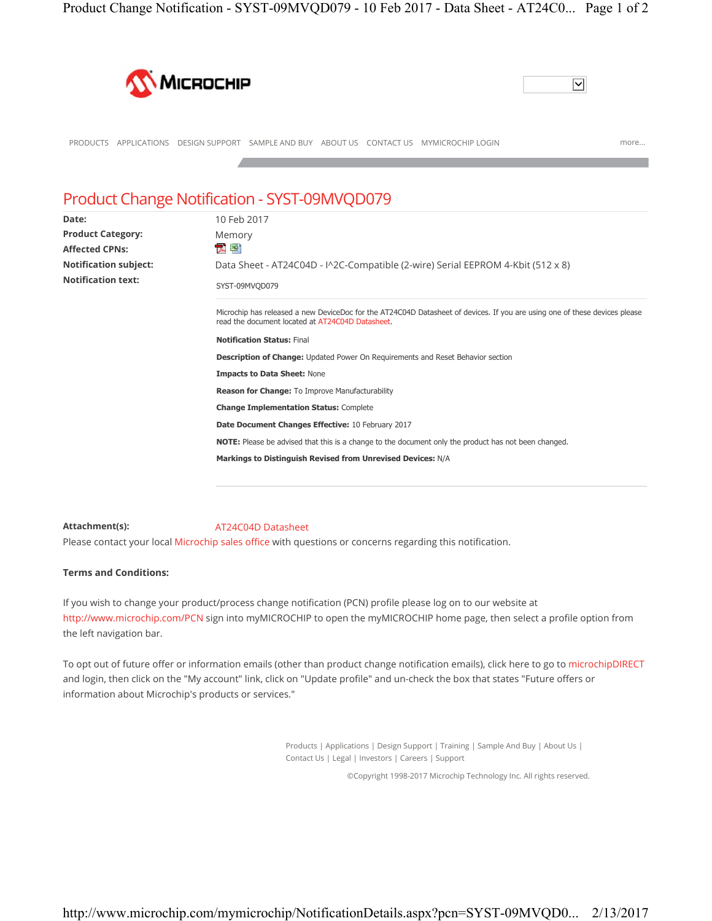



## PRODUCTS APPLICATIONS DESIGN SUPPORT SAMPLE AND BUY ABOUT US CONTACT US MYMICROCHIP LOGIN more...

## Product Change Notification - SYST-09MVQD079

| Date:                        | 10 Feb 2017                                                                                                                                                                    |
|------------------------------|--------------------------------------------------------------------------------------------------------------------------------------------------------------------------------|
| <b>Product Category:</b>     | Memory                                                                                                                                                                         |
| <b>Affected CPNs:</b>        | 四點                                                                                                                                                                             |
| <b>Notification subject:</b> | Data Sheet - AT24C04D - I^2C-Compatible (2-wire) Serial EEPROM 4-Kbit (512 x 8)                                                                                                |
| <b>Notification text:</b>    | SYST-09MVQD079                                                                                                                                                                 |
|                              | Microchip has released a new DeviceDoc for the AT24C04D Datasheet of devices. If you are using one of these devices please<br>read the document located at AT24C04D Datasheet. |
|                              | <b>Notification Status: Final</b>                                                                                                                                              |
|                              | <b>Description of Change:</b> Updated Power On Requirements and Reset Behavior section                                                                                         |
|                              | <b>Impacts to Data Sheet: None</b>                                                                                                                                             |
|                              | Reason for Change: To Improve Manufacturability                                                                                                                                |
|                              | <b>Change Implementation Status: Complete</b>                                                                                                                                  |
|                              | Date Document Changes Effective: 10 February 2017                                                                                                                              |
|                              | <b>NOTE:</b> Please be advised that this is a change to the document only the product has not been changed.                                                                    |
|                              | Markings to Distinguish Revised from Unrevised Devices: N/A                                                                                                                    |
|                              |                                                                                                                                                                                |

## **Attachment(s):** AT24C04D Datasheet

Please contact your local Microchip sales office with questions or concerns regarding this notification.

## **Terms and Conditions:**

If you wish to change your product/process change notification (PCN) profile please log on to our website at http://www.microchip.com/PCN sign into myMICROCHIP to open the myMICROCHIP home page, then select a profile option from the left navigation bar.

To opt out of future offer or information emails (other than product change notification emails), click here to go to microchipDIRECT and login, then click on the "My account" link, click on "Update profile" and un-check the box that states "Future offers or information about Microchip's products or services."

> Products | Applications | Design Support | Training | Sample And Buy | About Us | Contact Us | Legal | Investors | Careers | Support

> > ©Copyright 1998-2017 Microchip Technology Inc. All rights reserved.